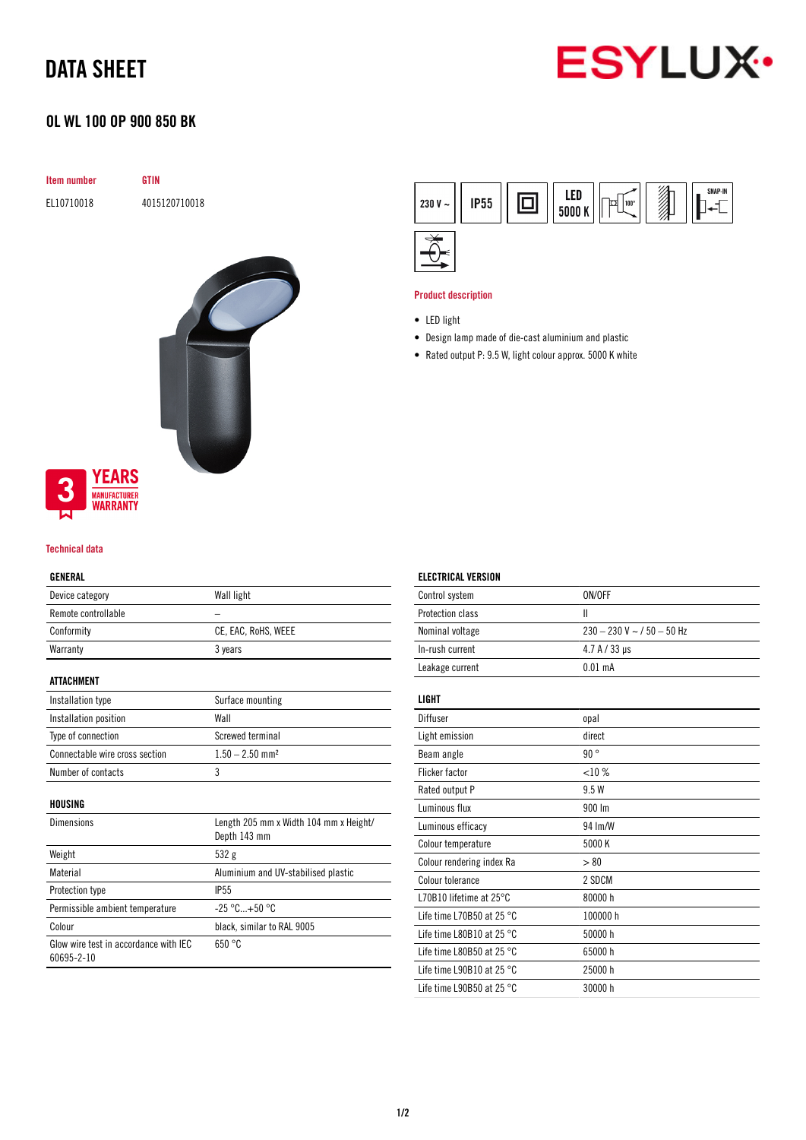# DATA SHEET



## OL WL 100 OP 900 850 BK

**GTIN** 

EL10710018 4015120710018

| Item number |  |
|-------------|--|
| EL10710018  |  |
|             |  |



# **YEARS MANUFACTURER**<br>**WARRANTY**

### Technical data

## GENERAL

| Device category                                     | Wall light                                             |
|-----------------------------------------------------|--------------------------------------------------------|
| Remote controllable                                 |                                                        |
| Conformity                                          | CE, EAC, RoHS, WEEE                                    |
| Warranty                                            | 3 years                                                |
| ATTACHMENT                                          |                                                        |
| Installation type                                   | Surface mounting                                       |
| Installation position                               | Wall                                                   |
| Type of connection                                  | Screwed terminal                                       |
| Connectable wire cross section                      | $1.50 - 2.50$ mm <sup>2</sup>                          |
| Number of contacts                                  | 3                                                      |
| HOUSING                                             |                                                        |
| Dimensions                                          | Length 205 mm x Width 104 mm x Height/<br>Depth 143 mm |
| Weight                                              | 532g                                                   |
| Material                                            | Aluminium and UV-stabilised plastic                    |
| <b>Protection type</b>                              | <b>IP55</b>                                            |
| Permissible ambient temperature                     | $-25 °C+50 °C$                                         |
| Colour                                              | black, similar to RAL 9005                             |
| Glow wire test in accordance with IEC<br>60695-2-10 | 650 °C                                                 |



#### Product description

ELECTRICAL VERSION

- Design lamp made of die-cast aluminium and plastic
- Rated output P: 9.5 W, light colour approx. 5000 K white

| Control system                      | ON/OFF                       |
|-------------------------------------|------------------------------|
| Protection class                    | Ш                            |
| Nominal voltage                     | $230 - 230$ V ~ / 50 - 50 Hz |
| In-rush current                     | $4.7 A / 33 \,\mu s$         |
| Leakage current                     | $0.01$ mA                    |
| LIGHT                               |                              |
| Diffuser                            | opal                         |
| Light emission                      | direct                       |
| Beam angle                          | 90°                          |
| <b>Flicker factor</b>               | <10%                         |
| Rated output P                      | 9.5 W                        |
| Luminous flux                       | 900 lm                       |
| Luminous efficacy                   | 94 Im/W                      |
| Colour temperature                  | 5000 K                       |
| Colour rendering index Ra           | > 80                         |
| Colour tolerance                    | 2 SDCM                       |
| L70B10 lifetime at 25°C             | 80000h                       |
| Life time L70B50 at 25 $^{\circ}$ C | 100000 h                     |
| Life time L80B10 at 25 $^{\circ}$ C | 50000 h                      |
| Life time L80B50 at 25 $^{\circ}$ C | 65000h                       |
| Life time L90B10 at 25 $^{\circ}$ C | 25000 h                      |
| Life time L90B50 at 25 $^{\circ}$ C | 30000h                       |
|                                     |                              |

<sup>•</sup> LED light